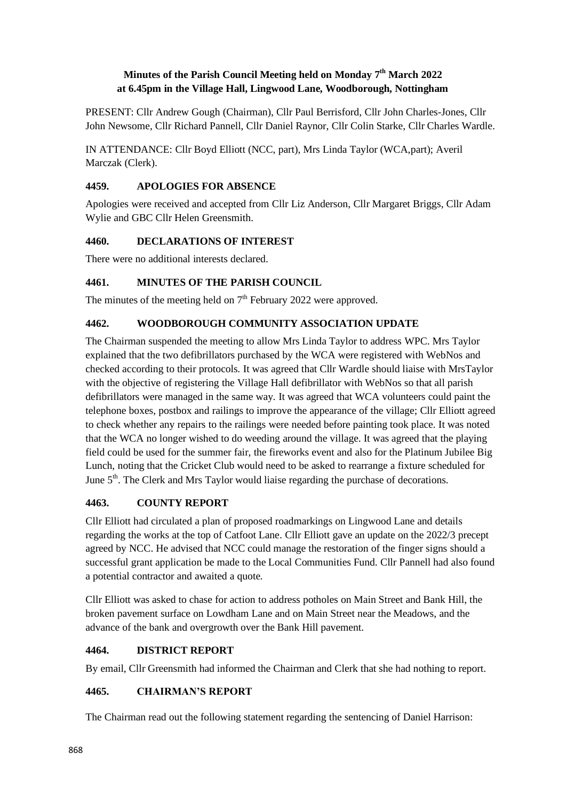## **Minutes of the Parish Council Meeting held on Monday 7 th March 2022 at 6.45pm in the Village Hall, Lingwood Lane, Woodborough, Nottingham**

PRESENT: Cllr Andrew Gough (Chairman), Cllr Paul Berrisford, Cllr John Charles-Jones, Cllr John Newsome, Cllr Richard Pannell, Cllr Daniel Raynor, Cllr Colin Starke, Cllr Charles Wardle.

IN ATTENDANCE: Cllr Boyd Elliott (NCC, part), Mrs Linda Taylor (WCA,part); Averil Marczak (Clerk).

### **4459. APOLOGIES FOR ABSENCE**

Apologies were received and accepted from Cllr Liz Anderson, Cllr Margaret Briggs, Cllr Adam Wylie and GBC Cllr Helen Greensmith.

### **4460. DECLARATIONS OF INTEREST**

There were no additional interests declared.

### **4461. MINUTES OF THE PARISH COUNCIL**

The minutes of the meeting held on  $7<sup>th</sup>$  February 2022 were approved.

### **4462. WOODBOROUGH COMMUNITY ASSOCIATION UPDATE**

The Chairman suspended the meeting to allow Mrs Linda Taylor to address WPC. Mrs Taylor explained that the two defibrillators purchased by the WCA were registered with WebNos and checked according to their protocols. It was agreed that Cllr Wardle should liaise with MrsTaylor with the objective of registering the Village Hall defibrillator with WebNos so that all parish defibrillators were managed in the same way. It was agreed that WCA volunteers could paint the telephone boxes, postbox and railings to improve the appearance of the village; Cllr Elliott agreed to check whether any repairs to the railings were needed before painting took place. It was noted that the WCA no longer wished to do weeding around the village. It was agreed that the playing field could be used for the summer fair, the fireworks event and also for the Platinum Jubilee Big Lunch, noting that the Cricket Club would need to be asked to rearrange a fixture scheduled for June  $5<sup>th</sup>$ . The Clerk and Mrs Taylor would liaise regarding the purchase of decorations.

### **4463. COUNTY REPORT**

Cllr Elliott had circulated a plan of proposed roadmarkings on Lingwood Lane and details regarding the works at the top of Catfoot Lane. Cllr Elliott gave an update on the 2022/3 precept agreed by NCC. He advised that NCC could manage the restoration of the finger signs should a successful grant application be made to the Local Communities Fund. Cllr Pannell had also found a potential contractor and awaited a quote.

Cllr Elliott was asked to chase for action to address potholes on Main Street and Bank Hill, the broken pavement surface on Lowdham Lane and on Main Street near the Meadows, and the advance of the bank and overgrowth over the Bank Hill pavement.

# **4464. DISTRICT REPORT**

By email, Cllr Greensmith had informed the Chairman and Clerk that she had nothing to report.

### **4465. CHAIRMAN'S REPORT**

The Chairman read out the following statement regarding the sentencing of Daniel Harrison: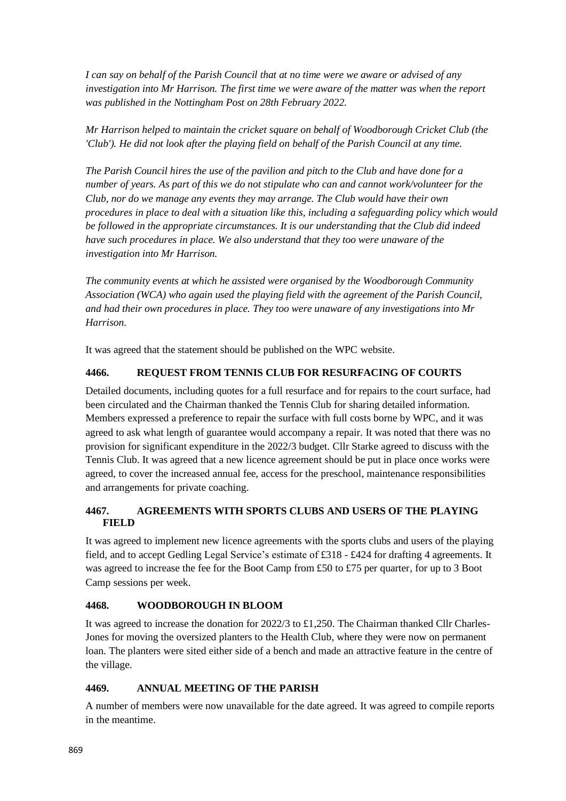*I can say on behalf of the Parish Council that at no time were we aware or advised of any investigation into Mr Harrison. The first time we were aware of the matter was when the report was published in the Nottingham Post on 28th February 2022.*

*Mr Harrison helped to maintain the cricket square on behalf of Woodborough Cricket Club (the 'Club'). He did not look after the playing field on behalf of the Parish Council at any time.*

*The Parish Council hires the use of the pavilion and pitch to the Club and have done for a number of years. As part of this we do not stipulate who can and cannot work/volunteer for the Club, nor do we manage any events they may arrange. The Club would have their own procedures in place to deal with a situation like this, including a safeguarding policy which would be followed in the appropriate circumstances. It is our understanding that the Club did indeed have such procedures in place. We also understand that they too were unaware of the investigation into Mr Harrison.*

*The community events at which he assisted were organised by the Woodborough Community Association (WCA) who again used the playing field with the agreement of the Parish Council, and had their own procedures in place. They too were unaware of any investigations into Mr Harrison.*

It was agreed that the statement should be published on the WPC website.

### **4466. REQUEST FROM TENNIS CLUB FOR RESURFACING OF COURTS**

Detailed documents, including quotes for a full resurface and for repairs to the court surface, had been circulated and the Chairman thanked the Tennis Club for sharing detailed information. Members expressed a preference to repair the surface with full costs borne by WPC, and it was agreed to ask what length of guarantee would accompany a repair. It was noted that there was no provision for significant expenditure in the 2022/3 budget. Cllr Starke agreed to discuss with the Tennis Club. It was agreed that a new licence agreement should be put in place once works were agreed, to cover the increased annual fee, access for the preschool, maintenance responsibilities and arrangements for private coaching.

### **4467. AGREEMENTS WITH SPORTS CLUBS AND USERS OF THE PLAYING FIELD**

It was agreed to implement new licence agreements with the sports clubs and users of the playing field, and to accept Gedling Legal Service's estimate of £318 - £424 for drafting 4 agreements. It was agreed to increase the fee for the Boot Camp from £50 to £75 per quarter, for up to 3 Boot Camp sessions per week.

### **4468. WOODBOROUGH IN BLOOM**

It was agreed to increase the donation for 2022/3 to £1,250. The Chairman thanked Cllr Charles-Jones for moving the oversized planters to the Health Club, where they were now on permanent loan. The planters were sited either side of a bench and made an attractive feature in the centre of the village.

### **4469. ANNUAL MEETING OF THE PARISH**

A number of members were now unavailable for the date agreed. It was agreed to compile reports in the meantime.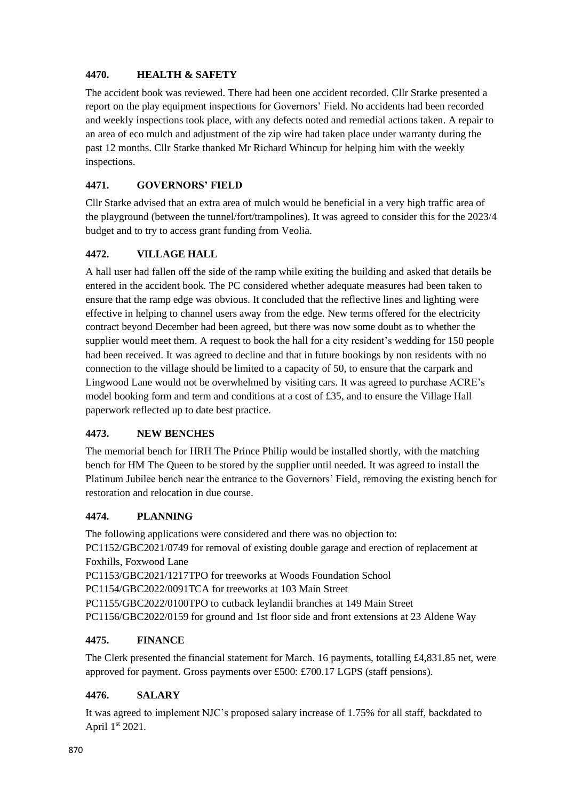## **4470. HEALTH & SAFETY**

The accident book was reviewed. There had been one accident recorded. Cllr Starke presented a report on the play equipment inspections for Governors' Field. No accidents had been recorded and weekly inspections took place, with any defects noted and remedial actions taken. A repair to an area of eco mulch and adjustment of the zip wire had taken place under warranty during the past 12 months. Cllr Starke thanked Mr Richard Whincup for helping him with the weekly inspections.

# **4471. GOVERNORS' FIELD**

Cllr Starke advised that an extra area of mulch would be beneficial in a very high traffic area of the playground (between the tunnel/fort/trampolines). It was agreed to consider this for the 2023/4 budget and to try to access grant funding from Veolia.

### **4472. VILLAGE HALL**

A hall user had fallen off the side of the ramp while exiting the building and asked that details be entered in the accident book. The PC considered whether adequate measures had been taken to ensure that the ramp edge was obvious. It concluded that the reflective lines and lighting were effective in helping to channel users away from the edge. New terms offered for the electricity contract beyond December had been agreed, but there was now some doubt as to whether the supplier would meet them. A request to book the hall for a city resident's wedding for 150 people had been received. It was agreed to decline and that in future bookings by non residents with no connection to the village should be limited to a capacity of 50, to ensure that the carpark and Lingwood Lane would not be overwhelmed by visiting cars. It was agreed to purchase ACRE's model booking form and term and conditions at a cost of £35, and to ensure the Village Hall paperwork reflected up to date best practice.

# **4473. NEW BENCHES**

The memorial bench for HRH The Prince Philip would be installed shortly, with the matching bench for HM The Queen to be stored by the supplier until needed. It was agreed to install the Platinum Jubilee bench near the entrance to the Governors' Field, removing the existing bench for restoration and relocation in due course.

### **4474. PLANNING**

The following applications were considered and there was no objection to: PC1152/GBC2021/0749 for removal of existing double garage and erection of replacement at Foxhills, Foxwood Lane PC1153/GBC2021/1217TPO for treeworks at Woods Foundation School PC1154/GBC2022/0091TCA for treeworks at 103 Main Street PC1155/GBC2022/0100TPO to cutback leylandii branches at 149 Main Street PC1156/GBC2022/0159 for ground and 1st floor side and front extensions at 23 Aldene Way

### **4475. FINANCE**

The Clerk presented the financial statement for March. 16 payments, totalling  $\text{\pounds}4,831.85$  net, were approved for payment. Gross payments over £500: £700.17 LGPS (staff pensions).

# **4476. SALARY**

It was agreed to implement NJC's proposed salary increase of 1.75% for all staff, backdated to April 1st 2021.